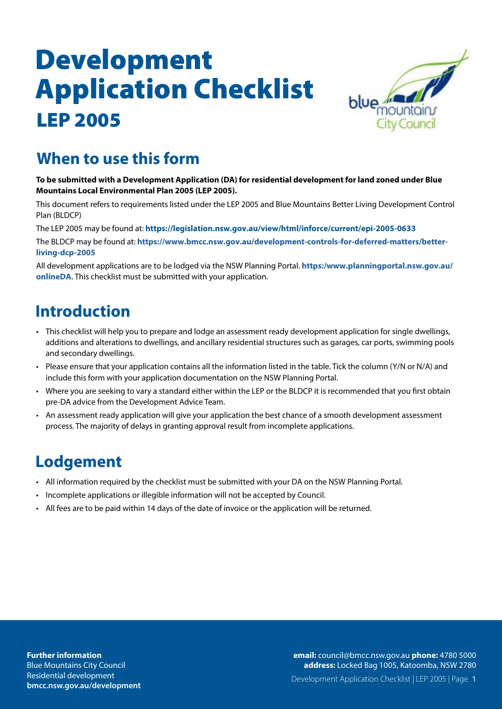

#### **When to use this form**

#### **To be submitted with a Development Application (DA) for residential development for land zoned under Blue Mountains Local Environmental Plan 2005 (LEP 2005).**

This document refers to requirements listed under the LEP 2005 and Blue Mountains Better Living Development Control Plan (BLDCP)

The LEP 2005 may be found at: **https://legislation.nsw.gov.au/view/html/inforce/current/epi-2005-0633**

The BLDCP may be found at: **https://www.bmcc.nsw.gov.au/development-controls-for-deferred-matters/betterliving-dcp-2005**

[All development applications are to be lodged via the NSW Planning Portal.](https:/www.planningportal.nsw.gov.au/onlineDA) **https:/www.planningportal.nsw.gov.au/ onlineDA**. This checklist must be submitted with your application.

### **Introduction**

- This checklist will help you to prepare and lodge an assessment ready development application for single dwellings, additions and alterations to dwellings, and ancillary residential structures such as garages, car ports, swimming pools and secondary dwellings.
- Please ensure that your application contains all the information listed in the table. Tick the column (Y/N or N/A) and include this form with your application documentation on the NSW Planning Portal.
- Where you are seeking to vary a standard either within the LEP or the BLDCP it is recommended that you first obtain pre-DA advice from the Development Advice Team.
- An assessment ready application will give your application the best chance of a smooth development assessment process. The majority of delays in granting approval result from incomplete applications.

#### **Lodgement**

- All information required by the checklist must be submitted with your DA on the NSW Planning Portal.
- Incomplete applications or illegible information will not be accepted by Council.
- All fees are to be paid within 14 days of the date of invoice or the application will be returned.

**address:** Locked Bag 1005, Katoomba, NSW 2780 **email:** council@bmcc.nsw.gov.au **phone:** 4780 5000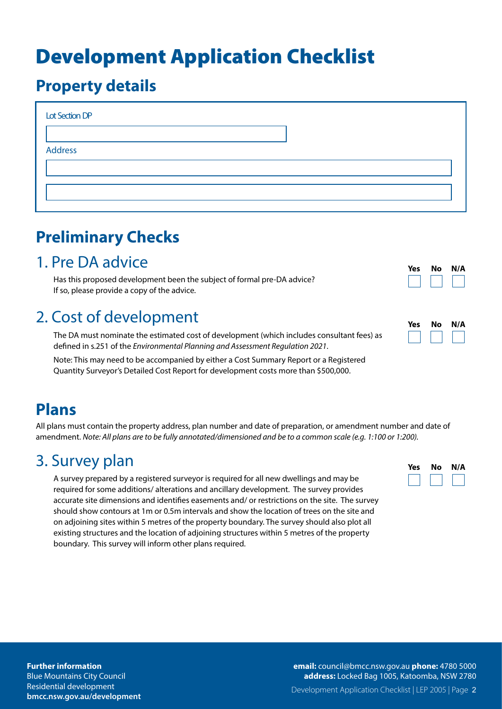#### **Property details**

| Lot Section DP |  |
|----------------|--|
|                |  |
| <b>Address</b> |  |
|                |  |
|                |  |
|                |  |

## **Preliminary Checks**

#### 1. Pre DA advice

Has this proposed development been the subject of formal pre-DA advice? If so, please provide a copy of the advice.

### 2. Cost of development

The DA must nominate the estimated cost of development (which includes consultant fees) as defined in s.251 of the *Environmental Planning and Assessment Regulation 2021*.

Note: This may need to be accompanied by either a Cost Summary Report or a Registered Quantity Surveyor's Detailed Cost Report for development costs more than \$500,000.

| Yes | Nο | N/A |
|-----|----|-----|
|     |    |     |

| Yes | Nο | N/A |
|-----|----|-----|
|     |    |     |

### **Plans**

All plans must contain the property address, plan number and date of preparation, or amendment number and date of amendment. *Note: All plans are to be fully annotated/dimensioned and be to a common scale (e.g. 1:100 or 1:200).*

#### 3. Survey plan

A survey prepared by a registered surveyor is required for all new dwellings and may be required for some additions/ alterations and ancillary development. The survey provides accurate site dimensions and identifies easements and/ or restrictions on the site. The survey should show contours at 1m or 0.5m intervals and show the location of trees on the site and on adjoining sites within 5 metres of the property boundary. The survey should also plot all existing structures and the location of adjoining structures within 5 metres of the property boundary. This survey will inform other plans required.

| <b>Yes</b> | No | N/A |
|------------|----|-----|
|            |    |     |

#### **Further information** Blue Mountains City Council

Residential development **bmcc.nsw.gov.au/development** Development Application Checklist | LEP 2005 | Page 2 **email:** council@bmcc.nsw.gov.au **phone:** 4780 5000 **address:** Locked Bag 1005, Katoomba, NSW 2780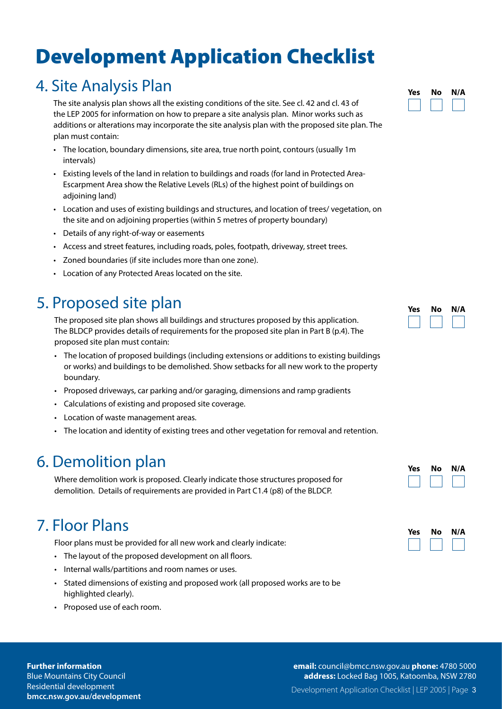#### 4. Site Analysis Plan

The site analysis plan shows all the existing conditions of the site. See cl. 42 and cl. 43 of the LEP 2005 for information on how to prepare a site analysis plan. Minor works such as additions or alterations may incorporate the site analysis plan with the proposed site plan. The plan must contain:

- The location, boundary dimensions, site area, true north point, contours (usually 1m intervals)
- Existing levels of the land in relation to buildings and roads (for land in Protected Area-Escarpment Area show the Relative Levels (RLs) of the highest point of buildings on adjoining land)
- Location and uses of existing buildings and structures, and location of trees/ vegetation, on the site and on adjoining properties (within 5 metres of property boundary)
- Details of any right-of-way or easements
- Access and street features, including roads, poles, footpath, driveway, street trees.
- Zoned boundaries (if site includes more than one zone).
- Location of any Protected Areas located on the site.

#### 5. Proposed site plan

The proposed site plan shows all buildings and structures proposed by this application. The BLDCP provides details of requirements for the proposed site plan in Part B (p.4). The proposed site plan must contain:

- The location of proposed buildings (including extensions or additions to existing buildings or works) and buildings to be demolished. Show setbacks for all new work to the property boundary.
- Proposed driveways, car parking and/or garaging, dimensions and ramp gradients
- Calculations of existing and proposed site coverage.
- Location of waste management areas.
- The location and identity of existing trees and other vegetation for removal and retention.

#### 6. Demolition plan

Where demolition work is proposed. Clearly indicate those structures proposed for demolition. Details of requirements are provided in Part C1.4 (p8) of the BLDCP.

#### 7. Floor Plans

Floor plans must be provided for all new work and clearly indicate:

- The layout of the proposed development on all floors.
- Internal walls/partitions and room names or uses.
- Stated dimensions of existing and proposed work (all proposed works are to be highlighted clearly).
- Proposed use of each room.

#### **Further information**

Blue Mountains City Council Residential development **bmcc.nsw.gov.au/development**



| Yes | No | N/A |
|-----|----|-----|
|     |    |     |



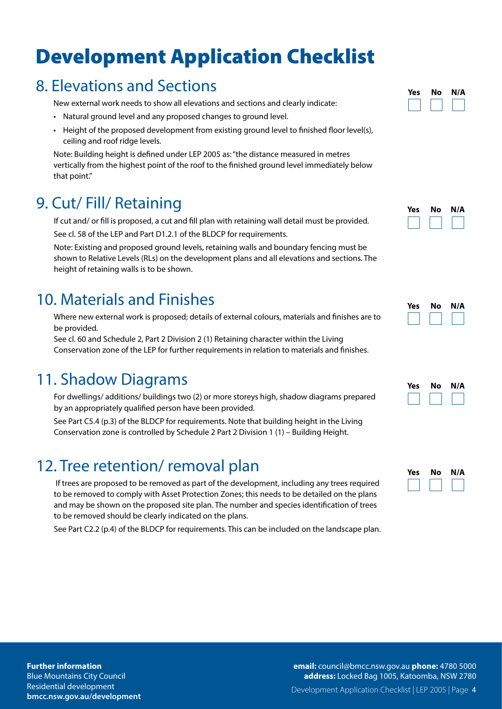#### 8. Elevations and Sections

New external work needs to show all elevations and sections and clearly indicate:

- Natural ground level and any proposed changes to ground level.
- Height of the proposed development from existing ground level to finished floor level(s), ceiling and roof ridge levels.

Note: Building height is defined under LEP 2005 as: "the distance measured in metres vertically from the highest point of the roof to the finished ground level immediately below that point."

#### 9. Cut/ Fill/ Retaining

If cut and/ or fill is proposed, a cut and fill plan with retaining wall detail must be provided.

See cl. 58 of the LEP and Part D1.2.1 of the BLDCP for requirements.

Note: Existing and proposed ground levels, retaining walls and boundary fencing must be shown to Relative Levels (RLs) on the development plans and all elevations and sections. The height of retaining walls is to be shown.

#### 10. Materials and Finishes

Where new external work is proposed; details of external colours, materials and finishes are to be provided.

See cl. 60 and Schedule 2, Part 2 Division 2 (1) Retaining character within the Living Conservation zone of the LEP for further requirements in relation to materials and finishes.

### 11. Shadow Diagrams

For dwellings/ additions/ buildings two (2) or more storeys high, shadow diagrams prepared by an appropriately qualified person have been provided.

See Part C5.4 (p.3) of the BLDCP for requirements. Note that building height in the Living Conservation zone is controlled by Schedule 2 Part 2 Division 1 (1) – Building Height.

### 12. Tree retention/ removal plan

If trees are proposed to be removed as part of the development, including any trees required to be removed to comply with Asset Protection Zones; this needs to be detailed on the plans and may be shown on the proposed site plan. The number and species identification of trees to be removed should be clearly indicated on the plans.

See Part C2.2 (p.4) of the BLDCP for requirements. This can be included on the landscape plan.



| Yes | Nο | N/A |
|-----|----|-----|
|     |    |     |

| <b>Yes</b> | Nο | N/A |
|------------|----|-----|
|            |    |     |

| Yes | Nο | N/A |
|-----|----|-----|
|     |    |     |

**Further information**

Blue Mountains City Council Residential development **bmcc.nsw.gov.au/development** Development Application Checklist | LEP 2005 | Page 4 **email:** council@bmcc.nsw.gov.au **phone:** 4780 5000 **address:** Locked Bag 1005, Katoomba, NSW 2780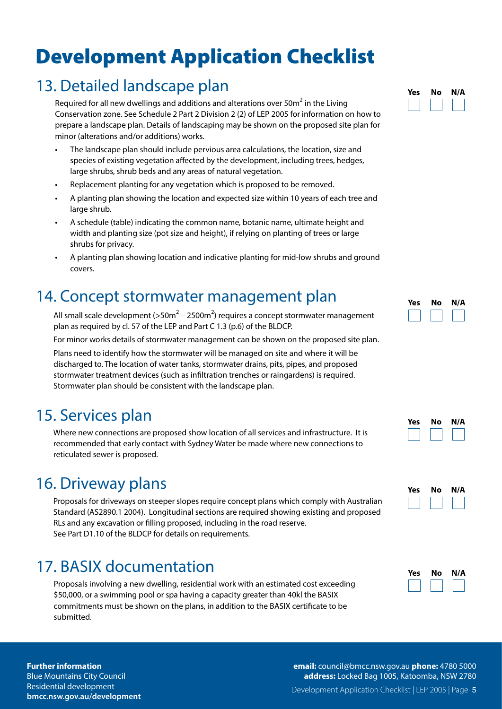#### 13. Detailed landscape plan

Required for all new dwellings and additions and alterations over 50 $\mathrm{m}^2$  in the Living Conservation zone. See Schedule 2 Part 2 Division 2 (2) of LEP 2005 for information on how to prepare a landscape plan. Details of landscaping may be shown on the proposed site plan for minor (alterations and/or additions) works.

- The landscape plan should include pervious area calculations, the location, size and species of existing vegetation affected by the development, including trees, hedges, large shrubs, shrub beds and any areas of natural vegetation.
- Replacement planting for any vegetation which is proposed to be removed.
- A planting plan showing the location and expected size within 10 years of each tree and large shrub.
- A schedule (table) indicating the common name, botanic name, ultimate height and width and planting size (pot size and height), if relying on planting of trees or large shrubs for privacy.
- A planting plan showing location and indicative planting for mid-low shrubs and ground covers.

#### 14. Concept stormwater management plan

All small scale development (>50m $^2$  – 2500m $^2$ ) requires a concept stormwater management plan as required by cl. 57 of the LEP and Part C 1.3 (p.6) of the BLDCP.

For minor works details of stormwater management can be shown on the proposed site plan.

Plans need to identify how the stormwater will be managed on site and where it will be discharged to. The location of water tanks, stormwater drains, pits, pipes, and proposed stormwater treatment devices (such as infiltration trenches or raingardens) is required. Stormwater plan should be consistent with the landscape plan.

#### 15. Services plan

Where new connections are proposed show location of all services and infrastructure. It is recommended that early contact with Sydney Water be made where new connections to reticulated sewer is proposed.

#### 16. Driveway plans

Proposals for driveways on steeper slopes require concept plans which comply with Australian Standard (AS2890.1 2004). Longitudinal sections are required showing existing and proposed RLs and any excavation or filling proposed, including in the road reserve. See Part D1.10 of the BLDCP for details on requirements.

### 17. BASIX documentation

Proposals involving a new dwelling, residential work with an estimated cost exceeding \$50,000, or a swimming pool or spa having a capacity greater than 40kl the BASIX commitments must be shown on the plans, in addition to the BASIX certificate to be submitted.



| Yes | Nο | N/A |
|-----|----|-----|
|     |    |     |

| Yes | No | N/A |
|-----|----|-----|
|     |    |     |
|     |    |     |



| Yes | No | N/A |
|-----|----|-----|
|     |    |     |

#### **Further information**

Blue Mountains City Council Residential development **bmcc.nsw.gov.au/development** Development Application Checklist | LEP 2005 | Page 5 **email:** council@bmcc.nsw.gov.au **phone:** 4780 5000 **address:** Locked Bag 1005, Katoomba, NSW 2780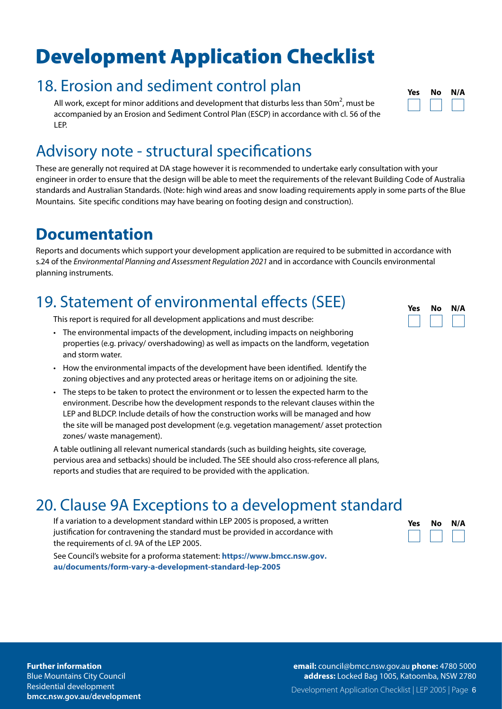#### 18. Erosion and sediment control plan

All work, except for minor additions and development that disturbs less than 50 $m^2$ , must be accompanied by an Erosion and Sediment Control Plan (ESCP) in accordance with cl. 56 of the LEP.

#### Advisory note - structural specifications

These are generally not required at DA stage however it is recommended to undertake early consultation with your engineer in order to ensure that the design will be able to meet the requirements of the relevant Building Code of Australia standards and Australian Standards. (Note: high wind areas and snow loading requirements apply in some parts of the Blue Mountains. Site specific conditions may have bearing on footing design and construction).

#### **Documentation**

Reports and documents which support your development application are required to be submitted in accordance with s.24 of the *Environmental Planning and Assessment Regulation 2021* and in accordance with Councils environmental planning instruments.

#### 19. Statement of environmental effects (SEE)

This report is required for all development applications and must describe:

- The environmental impacts of the development, including impacts on neighboring properties (e.g. privacy/ overshadowing) as well as impacts on the landform, vegetation and storm water.
- How the environmental impacts of the development have been identified. Identify the zoning objectives and any protected areas or heritage items on or adjoining the site.
- The steps to be taken to protect the environment or to lessen the expected harm to the environment. Describe how the development responds to the relevant clauses within the LEP and BLDCP. Include details of how the construction works will be managed and how the site will be managed post development (e.g. vegetation management/ asset protection zones/ waste management).

A table outlining all relevant numerical standards (such as building heights, site coverage, pervious area and setbacks) should be included. The SEE should also cross-reference all plans, reports and studies that are required to be provided with the application.

#### 20. Clause 9A Exceptions to a development standard

If a variation to a development standard within LEP 2005 is proposed, a written justification for contravening the standard must be provided in accordance with the requirements of cl. 9A of the LEP 2005.

See Council's website for a proforma statement: **https://www.bmcc.nsw.gov. au/documents/form-vary-a-development-standard-lep-2005**

| Nο | N/A |
|----|-----|
|    |     |
|    |     |





| Yes | Nο | N/A |
|-----|----|-----|
|     |    |     |

**Further information**

Blue Mountains City Council Residential development **bmcc.nsw.gov.au/development** Development Application Checklist | LEP 2005 | Page 6 **email:** council@bmcc.nsw.gov.au **phone:** 4780 5000 **address:** Locked Bag 1005, Katoomba, NSW 2780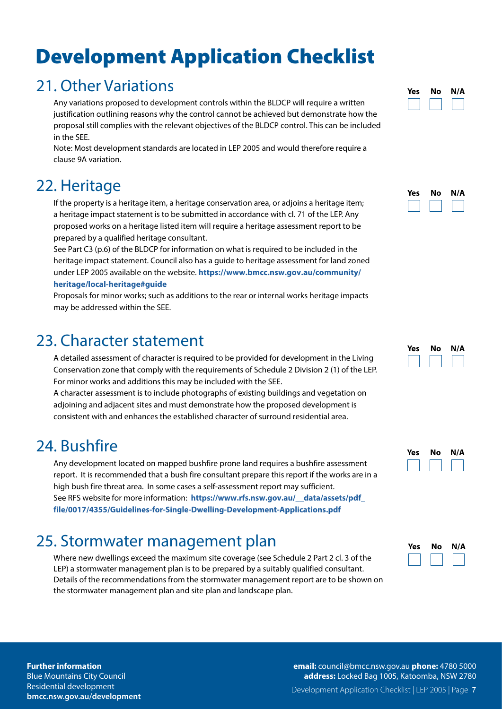#### 21. Other Variations

Any variations proposed to development controls within the BLDCP will require a written justification outlining reasons why the control cannot be achieved but demonstrate how the proposal still complies with the relevant objectives of the BLDCP control. This can be included in the SEE.

Note: Most development standards are located in LEP 2005 and would therefore require a clause 9A variation.

#### 22. Heritage

If the property is a heritage item, a heritage conservation area, or adjoins a heritage item; a heritage impact statement is to be submitted in accordance with cl. 71 of the LEP. Any proposed works on a heritage listed item will require a heritage assessment report to be prepared by a qualified heritage consultant.

See Part C3 (p.6) of the BLDCP for information on what is required to be included in the heritage impact statement. Council also has a guide to heritage assessment for land zoned under LEP 2005 available on the website. **https://www.bmcc.nsw.gov.au/community/**

#### **heritage/local-heritage#guide**

Proposals for minor works; such as additions to the rear or internal works heritage impacts may be addressed within the SEE.

#### 23. Character statement

A detailed assessment of character is required to be provided for development in the Living Conservation zone that comply with the requirements of Schedule 2 Division 2 (1) of the LEP. For minor works and additions this may be included with the SEE.

A character assessment is to include photographs of existing buildings and vegetation on adjoining and adjacent sites and must demonstrate how the proposed development is consistent with and enhances the established character of surround residential area.

#### 24. Bushfire

Any development located on mapped bushfire prone land requires a bushfire assessment report. It is recommended that a bush fire consultant prepare this report if the works are in a high bush fire threat area. In some cases a self-assessment report may sufficient. See RFS website for more information: **https://www.rfs.nsw.gov.au/\_\_data/assets/pdf\_ file/0017/4355/Guidelines-for-Single-Dwelling-Development-Applications.pdf**

### 25. Stormwater management plan

Where new dwellings exceed the maximum site coverage (see Schedule 2 Part 2 cl. 3 of the LEP) a stormwater management plan is to be prepared by a suitably qualified consultant. Details of the recommendations from the stormwater management report are to be shown on the stormwater management plan and site plan and landscape plan.





| Yes | Nο | N/A |
|-----|----|-----|
|     |    |     |

| Yes | No | N/A |
|-----|----|-----|
|     |    |     |

| Yes | No | N/A |
|-----|----|-----|
|     |    |     |

#### **Further information**

Blue Mountains City Council Residential development **bmcc.nsw.gov.au/development** Development Application Checklist | LEP 2005 | Page 7 **email:** council@bmcc.nsw.gov.au **phone:** 4780 5000 **address:** Locked Bag 1005, Katoomba, NSW 2780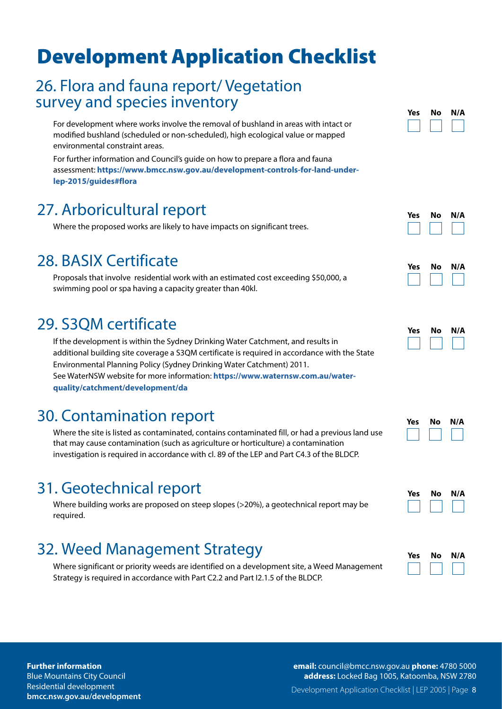#### 26. Flora and fauna report/ Vegetation survey and species inventory

For development where works involve the removal of bushland in areas with intact or modified bushland (scheduled or non-scheduled), high ecological value or mapped environmental constraint areas.

For further information and Council's guide on how to prepare a flora and fauna assessment: **https://www.bmcc.nsw.gov.au/development-controls-for-land-underlep-2015/guides#flora**

#### 27. Arboricultural report

Where the proposed works are likely to have impacts on significant trees.

#### 28. BASIX Certificate

Proposals that involve residential work with an estimated cost exceeding \$50,000, a swimming pool or spa having a capacity greater than 40kl.

#### 29. S3QM certificate

If the development is within the Sydney Drinking Water Catchment, and results in additional building site coverage a S3QM certificate is required in accordance with the State Environmental Planning Policy (Sydney Drinking Water Catchment) 2011. See WaterNSW website for more information: **https://www.waternsw.com.au/waterquality/catchment/development/da**

#### 30. Contamination report

Where the site is listed as contaminated, contains contaminated fill, or had a previous land use that may cause contamination (such as agriculture or horticulture) a contamination investigation is required in accordance with cl. 89 of the LEP and Part C4.3 of the BLDCP.

#### 31. Geotechnical report

Where building works are proposed on steep slopes (>20%), a geotechnical report may be required.

### 32. Weed Management Strategy

Where significant or priority weeds are identified on a development site, a Weed Management Strategy is required in accordance with Part C2.2 and Part I2.1.5 of the BLDCP.

| Yes | Nο | N/A |
|-----|----|-----|
|     |    |     |





| Yes | No | N/A |
|-----|----|-----|
|     |    |     |

| Yes | Nο | N/A |
|-----|----|-----|
|     |    |     |



| <b>Yes</b> | Nο | N/A |
|------------|----|-----|
|            |    |     |

#### **Further information**

Blue Mountains City Council Residential development **bmcc.nsw.gov.au/development** Development Application Checklist | LEP 2005 | Page 8 **email:** council@bmcc.nsw.gov.au **phone:** 4780 5000 **address:** Locked Bag 1005, Katoomba, NSW 2780